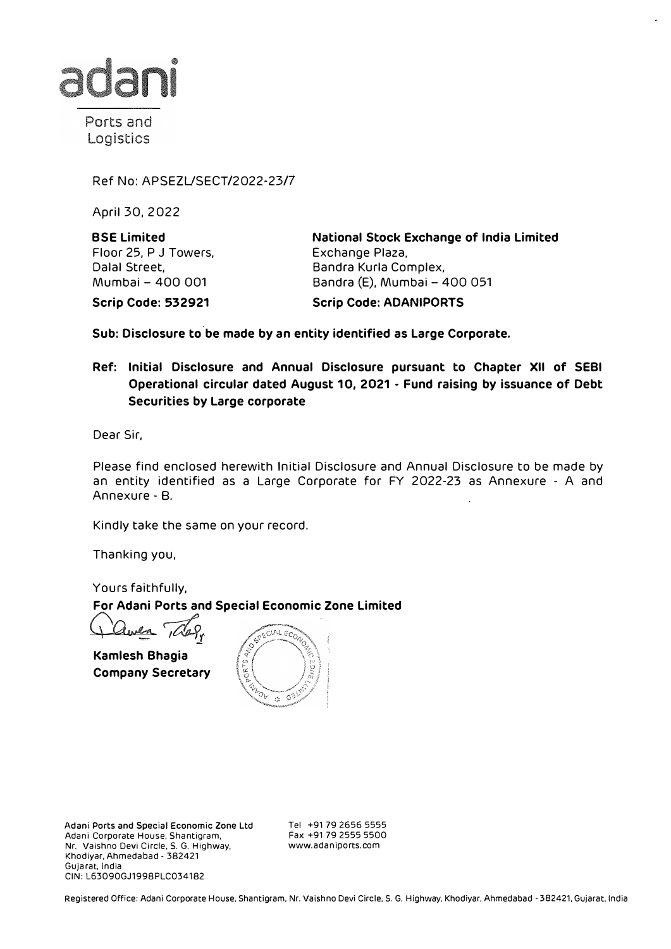

Ports and Logistics

Ref No: APSEZUSECT/2022-23/7

April 30, 2022

**BSE Limited**  Floor 25, P J Towers, Dalal Street, Mumbai - 400 001

**National Stock Exchange of India Limited**  Exchange Plaza, Sandra Kurla Complex, Bandra (E), Mumbai - 400 051

**Scrip Code: 532921** 

**Scrip Code: ADANIPORTS** 

**Sub: Disclosure to be made by an entity identified as Large Corporate.** 

**Ref: Initial Disclosure and Annual Disclosure pursuant to Chapter XII of SEBI Operational circular dated August 1 O, 2021 - Fund raising by issuance of Debt Securities by Large corporate** 

Dear Sir,

Please find enclosed herewith Initial Disclosure and Annual Disclosure to be made by an entity identified as a Large Corporate for FY 2022-23 as Annexure - A and Annexure - B.

Kindly take the same on your record.

Thanking you,

Yours faithfully, **For Adani Ports and Special Economic Zone Limited** 

 $\rightarrow$ 

**Kamlesh Bhagia Company Secretary** 



Adani Ports and Special Economic Zone Ltd Adani Corporate House, Shantigram, Nr. Vaishno Devi Circle, S. G. Highway, Khodiyar, Ahmedabad - 382421 Gujarat, India CIN: L63090GJ1998PLC034182

Tel +91 79 2656 5555 Fax +91 79 2555 5500 www.adaniports.com

Registered Office: Adani Corporate House, Shantigram, Nr. Vaishno Devi Circle, S. G. Highway, Khodiyar, Ahmedabad - 382421, Gujarat, India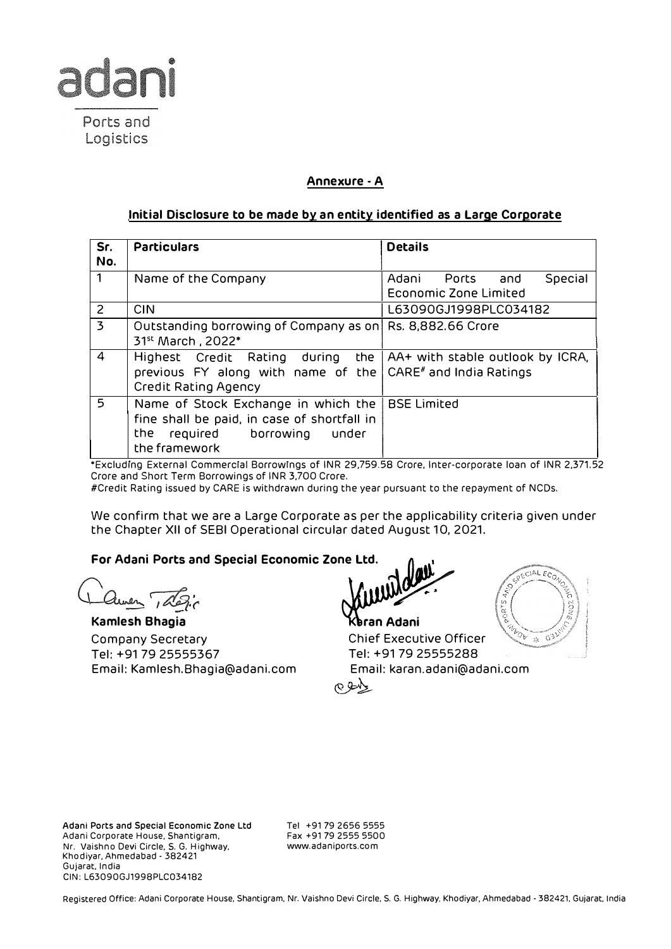

# **Annexure - A**

## **Initial Disclosure to be made by an entity identified as a Large Corporate**

| Sr.<br>No.                | <b>Particulars</b>                                                                                                                                                    | <b>Details</b>                                             |  |  |
|---------------------------|-----------------------------------------------------------------------------------------------------------------------------------------------------------------------|------------------------------------------------------------|--|--|
| $\mathbf{1}$              | Name of the Company                                                                                                                                                   | Adani Ports and<br>Special<br><b>Economic Zone Limited</b> |  |  |
| $\overline{2}$            | <b>CIN</b>                                                                                                                                                            | L63090GJ1998PLC034182                                      |  |  |
| $\overline{\overline{3}}$ | Outstanding borrowing of Company as on Rs. 8,882.66 Crore<br>31 <sup>st</sup> March, 2022*                                                                            |                                                            |  |  |
| $\overline{4}$            | Highest Credit Rating during the   AA+ with stable outlook by ICRA,<br>previous FY along with name of the CARE <sup>#</sup> and India Ratings<br>Credit Rating Agency |                                                            |  |  |
| 5                         | Name of Stock Exchange in which the<br>fine shall be paid, in case of shortfall in<br>required borrowing<br>the<br>under<br>the framework                             | <b>BSE Limited</b>                                         |  |  |

\*Excluding External Commercial Borrowings of INR 29,759.58 Crore, Inter-corporate loan of INR 2,371.52 Crore and Short Term Borrowings of INR 3,700 Crore.

#Credit Rating issued by CARE is withdrawn during the year pursuant to the repayment of NCDs.

We confirm that we are a Large Corporate as per the applicability criteria given under the Chapter XII of SEBI Operational circular dated August 10, 2021.

## **For Adani Ports and Special Economic Zone Ltd.**

**Clures** 125

Company Secretary **Chief Executive Officer** Tel: +91 79 25555367 Tel: +91 79 25555288 Email: Kamlesh.Bhagia@adani.com Email: karan.adani@adani.com

**Kamlesh Bhagia**<br>Kamlesh Bhagia **Canadiani Register** 



**Adani Ports and Special Economic Zone Ltd**  Adani Corporate House, Shantigram, Nr. Vaishno Devi Circle, S. G. Highway, Khodiyar, Ahmedabad - 382421 Gujarat, India CIN: L63090GJ1998PLC034182

Tel +91 79 2656 5555 Fax +91 79 2555 5500 www.adaniports.com